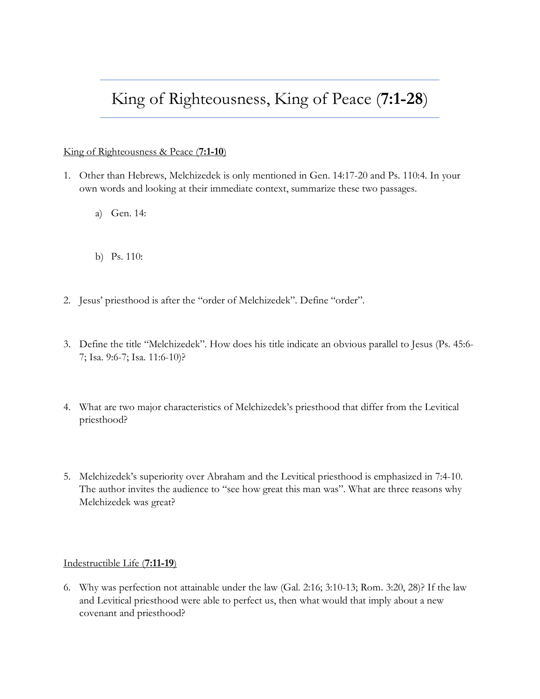## King of Righteousness, King of Peace (**7:1-28**)

## King of Righteousness & Peace (**7:1-10**)

- 1. Other than Hebrews, Melchizedek is only mentioned in Gen. 14:17-20 and Ps. 110:4. In your own words and looking at their immediate context, summarize these two passages.
	- a) Gen. 14:
	- b) Ps. 110:
- 2. Jesus' priesthood is after the "order of Melchizedek". Define "order".
- 3. Define the title "Melchizedek". How does his title indicate an obvious parallel to Jesus (Ps. 45:6- 7; Isa. 9:6-7; Isa. 11:6-10)?
- 4. What are two major characteristics of Melchizedek's priesthood that differ from the Levitical priesthood?
- 5. Melchizedek's superiority over Abraham and the Levitical priesthood is emphasized in 7:4-10. The author invites the audience to "see how great this man was". What are three reasons why Melchizedek was great?

## Indestructible Life (**7:11-19**)

6. Why was perfection not attainable under the law (Gal. 2:16; 3:10-13; Rom. 3:20, 28)? If the law and Levitical priesthood were able to perfect us, then what would that imply about a new covenant and priesthood?